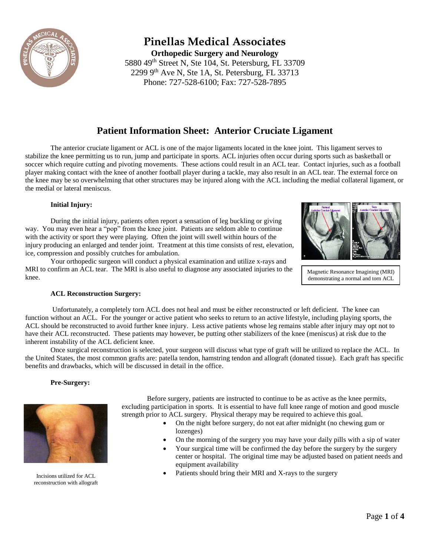

# **Pinellas Medical Associates**

**Orthopedic Surgery and Neurology** 5880 49th Street N, Ste 104, St. Petersburg, FL 33709 2299  $9<sup>th</sup>$  Ave N, Ste 1A, St. Petersburg, FL 33713 Phone: 727-528-6100; Fax: 727-528-7895

## **Patient Information Sheet: Anterior Cruciate Ligament**

The anterior cruciate ligament or ACL is one of the major ligaments located in the knee joint. This ligament serves to stabilize the knee permitting us to run, jump and participate in sports. ACL injuries often occur during sports such as basketball or soccer which require cutting and pivoting movements. These actions could result in an ACL tear. Contact injuries, such as a football player making contact with the knee of another football player during a tackle, may also result in an ACL tear. The external force on the knee may be so overwhelming that other structures may be injured along with the ACL including the medial collateral ligament, or the medial or lateral meniscus.

### **Initial Injury:**

During the initial injury, patients often report a sensation of leg buckling or giving way. You may even hear a "pop" from the knee joint. Patients are seldom able to continue with the activity or sport they were playing. Often the joint will swell within hours of the injury producing an enlarged and tender joint. Treatment at this time consists of rest, elevation, ice, compression and possibly crutches for ambulation.

Your orthopedic surgeon will conduct a physical examination and utilize x-rays and MRI to confirm an ACL tear. The MRI is also useful to diagnose any associated injuries to the knee.



Magnetic Resonance Imagining (MRI) demonstrating a normal and torn ACL

## **ACL Reconstruction Surgery:**

Unfortunately, a completely torn ACL does not heal and must be either reconstructed or left deficient. The knee can function without an ACL. For the younger or active patient who seeks to return to an active lifestyle, including playing sports, the ACL should be reconstructed to avoid further knee injury. Less active patients whose leg remains stable after injury may opt not to have their ACL reconstructed. These patients may however, be putting other stabilizers of the knee (meniscus) at risk due to the inherent instability of the ACL deficient knee.

Once surgical reconstruction is selected, your surgeon will discuss what type of graft will be utilized to replace the ACL. In the United States, the most common grafts are: patella tendon, hamstring tendon and allograft (donated tissue). Each graft has specific benefits and drawbacks, which will be discussed in detail in the office.

## **Pre-Surgery:**



Incisions utilized for ACL reconstruction with allograft

Before surgery, patients are instructed to continue to be as active as the knee permits, excluding participation in sports. It is essential to have full knee range of motion and good muscle strength prior to ACL surgery. Physical therapy may be required to achieve this goal.

- On the night before surgery, do not eat after midnight (no chewing gum or lozenges)
- On the morning of the surgery you may have your daily pills with a sip of water
- Your surgical time will be confirmed the day before the surgery by the surgery center or hospital. The original time may be adjusted based on patient needs and equipment availability
- Patients should bring their MRI and X-rays to the surgery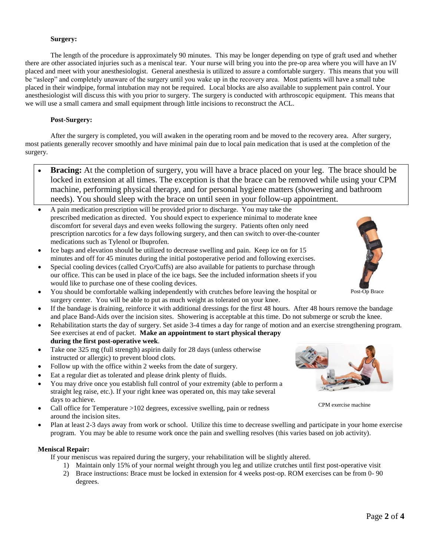### **Surgery:**

The length of the procedure is approximately 90 minutes. This may be longer depending on type of graft used and whether there are other associated injuries such as a meniscal tear. Your nurse will bring you into the pre-op area where you will have an IV placed and meet with your anesthesiologist. General anesthesia is utilized to assure a comfortable surgery. This means that you will be "asleep" and completely unaware of the surgery until you wake up in the recovery area. Most patients will have a small tube placed in their windpipe, formal intubation may not be required. Local blocks are also available to supplement pain control. Your anesthesiologist will discuss this with you prior to surgery. The surgery is conducted with arthroscopic equipment. This means that we will use a small camera and small equipment through little incisions to reconstruct the ACL.

### **Post-Surgery:**

After the surgery is completed, you will awaken in the operating room and be moved to the recovery area. After surgery, most patients generally recover smoothly and have minimal pain due to local pain medication that is used at the completion of the surgery.

- **Bracing:** At the completion of surgery, you will have a brace placed on your leg. The brace should be locked in extension at all times. The exception is that the brace can be removed while using your CPM machine, performing physical therapy, and for personal hygiene matters (showering and bathroom needs). You should sleep with the brace on until seen in your follow-up appointment.
- A pain medication prescription will be provided prior to discharge. You may take the prescribed medication as directed. You should expect to experience minimal to moderate knee discomfort for several days and even weeks following the surgery. Patients often only need prescription narcotics for a few days following surgery, and then can switch to over-the-counter medications such as Tylenol or Ibuprofen.
- Ice bags and elevation should be utilized to decrease swelling and pain. Keep ice on for 15 minutes and off for 45 minutes during the initial postoperative period and following exercises.
- Special cooling devices (called Cryo/Cuffs) are also available for patients to purchase through our office. This can be used in place of the ice bags. See the included information sheets if you would like to purchase one of these cooling devices.
- You should be comfortable walking independently with crutches before leaving the hospital or surgery center. You will be able to put as much weight as tolerated on your knee.
- If the bandage is draining, reinforce it with additional dressings for the first 48 hours. After 48 hours remove the bandage and place Band-Aids over the incision sites. Showering is acceptable at this time. Do not submerge or scrub the knee.
- Rehabilitation starts the day of surgery. Set aside 3-4 times a day for range of motion and an exercise strengthening program. See exercises at end of packet. **Make an appointment to start physical therapy during the first post-operative week**. reconstruction with the use of
- Take one 325 mg (full strength) aspirin daily for 28 days (unless otherwise instructed or allergic) to prevent blood clots.
- Follow up with the office within 2 weeks from the date of surgery.
- Eat a regular diet as tolerated and please drink plenty of fluids.
- You may drive once you establish full control of your extremity (able to perform a straight leg raise, etc.). If your right knee was operated on, this may take several days to achieve.
- Call office for Temperature >102 degrees, excessive swelling, pain or redness around the incision sites.
- Plan at least 2-3 days away from work or school. Utilize this time to decrease swelling and participate in your home exercise program. You may be able to resume work once the pain and swelling resolves (this varies based on job activity).

## **Meniscal Repair:**

If your meniscus was repaired during the surgery, your rehabilitation will be slightly altered.

- 1) Maintain only 15% of your normal weight through you leg and utilize crutches until first post-operative visit
- 2) Brace instructions: Brace must be locked in extension for 4 weeks post-op. ROM exercises can be from 0- 90 degrees.



Post-Op Brace

Allograft



CPM exercise machine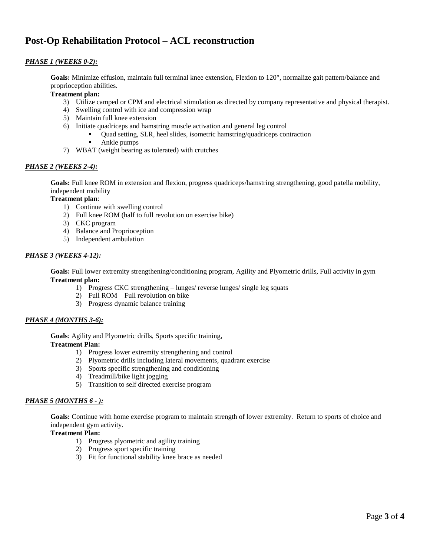## **Post-Op Rehabilitation Protocol – ACL reconstruction**

## *PHASE 1 (WEEKS 0-2):*

**Goals:** Minimize effusion, maintain full terminal knee extension, Flexion to 120°, normalize gait pattern/balance and proprioception abilities.

### **Treatment plan:**

- 3) Utilize camped or CPM and electrical stimulation as directed by company representative and physical therapist.
- 4) Swelling control with ice and compression wrap
- 5) Maintain full knee extension
- 6) Initiate quadriceps and hamstring muscle activation and general leg control
	- Quad setting, SLR, heel slides, isometric hamstring/quadriceps contraction
	- **Ankle pumps**
- 7) WBAT (weight bearing as tolerated) with crutches

### *PHASE 2 (WEEKS 2-4):*

**Goals:** Full knee ROM in extension and flexion, progress quadriceps/hamstring strengthening, good patella mobility, independent mobility

### **Treatment plan**:

- 1) Continue with swelling control
- 2) Full knee ROM (half to full revolution on exercise bike)
- 3) CKC program
- 4) Balance and Proprioception
- 5) Independent ambulation

### *PHASE 3 (WEEKS 4-12):*

**Goals:** Full lower extremity strengthening/conditioning program, Agility and Plyometric drills, Full activity in gym **Treatment plan:**

- 1) Progress CKC strengthening lunges/ reverse lunges/ single leg squats
- 2) Full ROM Full revolution on bike
- 3) Progress dynamic balance training

## *PHASE 4 (MONTHS 3-6):*

**Goals**: Agility and Plyometric drills, Sports specific training,

**Treatment Plan:** 

- 1) Progress lower extremity strengthening and control
- 2) Plyometric drills including lateral movements, quadrant exercise
- 3) Sports specific strengthening and conditioning
- 4) Treadmill/bike light jogging
- 5) Transition to self directed exercise program

## *PHASE 5 (MONTHS 6 - ):*

**Goals:** Continue with home exercise program to maintain strength of lower extremity. Return to sports of choice and independent gym activity.

## **Treatment Plan:**

- 1) Progress plyometric and agility training
- 2) Progress sport specific training
- 3) Fit for functional stability knee brace as needed